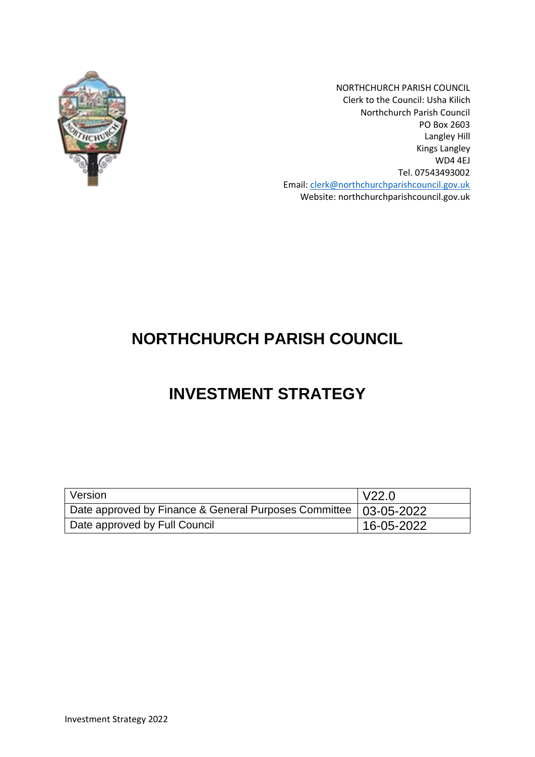

NORTHCHURCH PARISH COUNCIL Clerk to the Council: Usha Kilich Northchurch Parish Council PO Box 2603 Langley Hill Kings Langley WD4 4EJ Tel. 07543493002 Email: [clerk@northchurchparishcouncil.gov.uk](mailto:clerk@northchurchparishcouncil.gov.uk) Website: northchurchparishcouncil.gov.uk

# **NORTHCHURCH PARISH COUNCIL**

# **INVESTMENT STRATEGY**

| Version                                                            | V22.0      |
|--------------------------------------------------------------------|------------|
| Date approved by Finance & General Purposes Committee   03-05-2022 |            |
| Date approved by Full Council                                      | 16-05-2022 |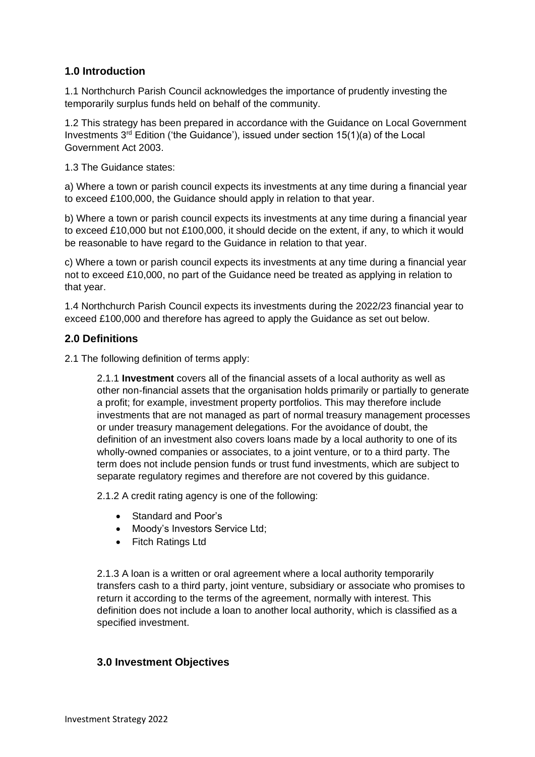## **1.0 Introduction**

1.1 Northchurch Parish Council acknowledges the importance of prudently investing the temporarily surplus funds held on behalf of the community.

1.2 This strategy has been prepared in accordance with the Guidance on Local Government Investments  $3^{rd}$  Edition ('the Guidance'), issued under section 15(1)(a) of the Local Government Act 2003.

1.3 The Guidance states:

a) Where a town or parish council expects its investments at any time during a financial year to exceed £100,000, the Guidance should apply in relation to that year.

b) Where a town or parish council expects its investments at any time during a financial year to exceed £10,000 but not £100,000, it should decide on the extent, if any, to which it would be reasonable to have regard to the Guidance in relation to that year.

c) Where a town or parish council expects its investments at any time during a financial year not to exceed £10,000, no part of the Guidance need be treated as applying in relation to that year.

1.4 Northchurch Parish Council expects its investments during the 2022/23 financial year to exceed £100,000 and therefore has agreed to apply the Guidance as set out below.

## **2.0 Definitions**

2.1 The following definition of terms apply:

2.1.1 **Investment** covers all of the financial assets of a local authority as well as other non-financial assets that the organisation holds primarily or partially to generate a profit; for example, investment property portfolios. This may therefore include investments that are not managed as part of normal treasury management processes or under treasury management delegations. For the avoidance of doubt, the definition of an investment also covers loans made by a local authority to one of its wholly-owned companies or associates, to a joint venture, or to a third party. The term does not include pension funds or trust fund investments, which are subject to separate regulatory regimes and therefore are not covered by this guidance.

2.1.2 A credit rating agency is one of the following:

- Standard and Poor's
- Moody's Investors Service Ltd;
- Fitch Ratings Ltd

2.1.3 A loan is a written or oral agreement where a local authority temporarily transfers cash to a third party, joint venture, subsidiary or associate who promises to return it according to the terms of the agreement, normally with interest. This definition does not include a loan to another local authority, which is classified as a specified investment.

## **3.0 Investment Objectives**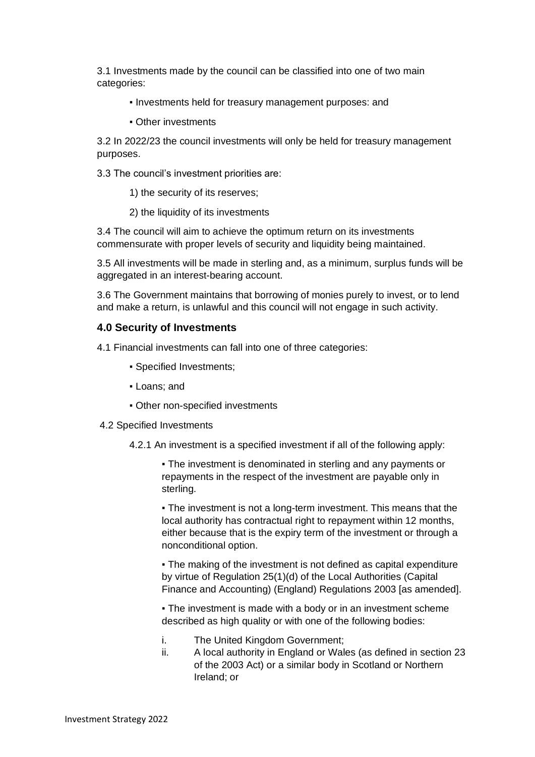3.1 Investments made by the council can be classified into one of two main categories:

- Investments held for treasury management purposes: and
- Other investments

3.2 In 2022/23 the council investments will only be held for treasury management purposes.

3.3 The council's investment priorities are:

1) the security of its reserves;

2) the liquidity of its investments

3.4 The council will aim to achieve the optimum return on its investments commensurate with proper levels of security and liquidity being maintained.

3.5 All investments will be made in sterling and, as a minimum, surplus funds will be aggregated in an interest-bearing account.

3.6 The Government maintains that borrowing of monies purely to invest, or to lend and make a return, is unlawful and this council will not engage in such activity.

### **4.0 Security of Investments**

4.1 Financial investments can fall into one of three categories:

- Specified Investments;
- Loans; and
- Other non-specified investments

#### 4.2 Specified Investments

4.2.1 An investment is a specified investment if all of the following apply:

• The investment is denominated in sterling and any payments or repayments in the respect of the investment are payable only in sterling.

• The investment is not a long-term investment. This means that the local authority has contractual right to repayment within 12 months, either because that is the expiry term of the investment or through a nonconditional option.

• The making of the investment is not defined as capital expenditure by virtue of Regulation 25(1)(d) of the Local Authorities (Capital Finance and Accounting) (England) Regulations 2003 [as amended].

• The investment is made with a body or in an investment scheme described as high quality or with one of the following bodies:

- i. The United Kingdom Government;
- ii. A local authority in England or Wales (as defined in section 23 of the 2003 Act) or a similar body in Scotland or Northern Ireland; or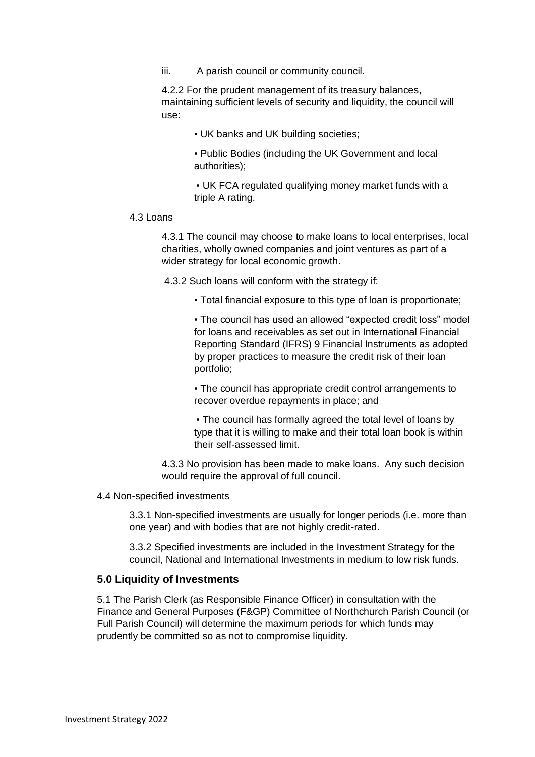iii. A parish council or community council.

4.2.2 For the prudent management of its treasury balances, maintaining sufficient levels of security and liquidity, the council will use:

▪ UK banks and UK building societies;

▪ Public Bodies (including the UK Government and local authorities);

▪ UK FCA regulated qualifying money market funds with a triple A rating.

#### 4.3 Loans

4.3.1 The council may choose to make loans to local enterprises, local charities, wholly owned companies and joint ventures as part of a wider strategy for local economic growth.

4.3.2 Such loans will conform with the strategy if:

▪ Total financial exposure to this type of loan is proportionate;

• The council has used an allowed "expected credit loss" model for loans and receivables as set out in International Financial Reporting Standard (IFRS) 9 Financial Instruments as adopted by proper practices to measure the credit risk of their loan portfolio;

• The council has appropriate credit control arrangements to recover overdue repayments in place; and

• The council has formally agreed the total level of loans by type that it is willing to make and their total loan book is within their self-assessed limit.

4.3.3 No provision has been made to make loans. Any such decision would require the approval of full council.

#### 4.4 Non-specified investments

3.3.1 Non-specified investments are usually for longer periods (i.e. more than one year) and with bodies that are not highly credit-rated.

3.3.2 Specified investments are included in the Investment Strategy for the council, National and International Investments in medium to low risk funds.

#### **5.0 Liquidity of Investments**

5.1 The Parish Clerk (as Responsible Finance Officer) in consultation with the Finance and General Purposes (F&GP) Committee of Northchurch Parish Council (or Full Parish Council) will determine the maximum periods for which funds may prudently be committed so as not to compromise liquidity.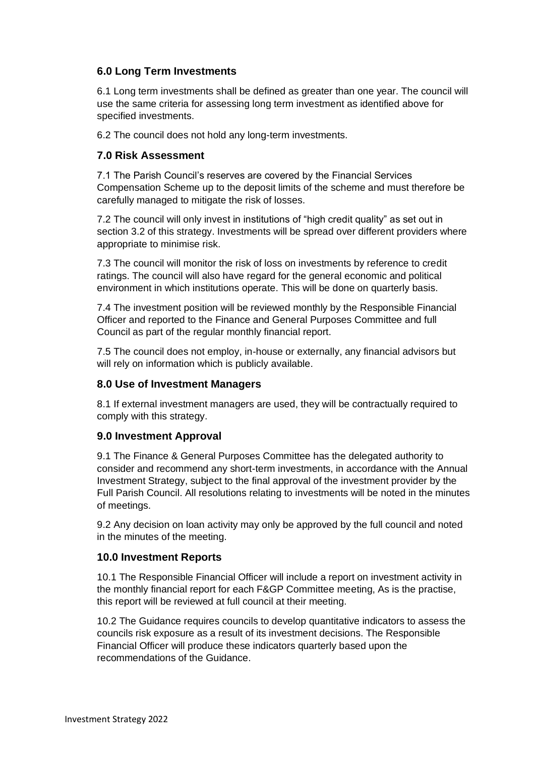## **6.0 Long Term Investments**

6.1 Long term investments shall be defined as greater than one year. The council will use the same criteria for assessing long term investment as identified above for specified investments.

6.2 The council does not hold any long-term investments.

## **7.0 Risk Assessment**

7.1 The Parish Council's reserves are covered by the Financial Services Compensation Scheme up to the deposit limits of the scheme and must therefore be carefully managed to mitigate the risk of losses.

7.2 The council will only invest in institutions of "high credit quality" as set out in section 3.2 of this strategy. Investments will be spread over different providers where appropriate to minimise risk.

7.3 The council will monitor the risk of loss on investments by reference to credit ratings. The council will also have regard for the general economic and political environment in which institutions operate. This will be done on quarterly basis.

7.4 The investment position will be reviewed monthly by the Responsible Financial Officer and reported to the Finance and General Purposes Committee and full Council as part of the regular monthly financial report.

7.5 The council does not employ, in-house or externally, any financial advisors but will rely on information which is publicly available.

## **8.0 Use of Investment Managers**

8.1 If external investment managers are used, they will be contractually required to comply with this strategy.

## **9.0 Investment Approval**

9.1 The Finance & General Purposes Committee has the delegated authority to consider and recommend any short-term investments, in accordance with the Annual Investment Strategy, subject to the final approval of the investment provider by the Full Parish Council. All resolutions relating to investments will be noted in the minutes of meetings.

9.2 Any decision on loan activity may only be approved by the full council and noted in the minutes of the meeting.

### **10.0 Investment Reports**

10.1 The Responsible Financial Officer will include a report on investment activity in the monthly financial report for each F&GP Committee meeting, As is the practise, this report will be reviewed at full council at their meeting.

10.2 The Guidance requires councils to develop quantitative indicators to assess the councils risk exposure as a result of its investment decisions. The Responsible Financial Officer will produce these indicators quarterly based upon the recommendations of the Guidance.